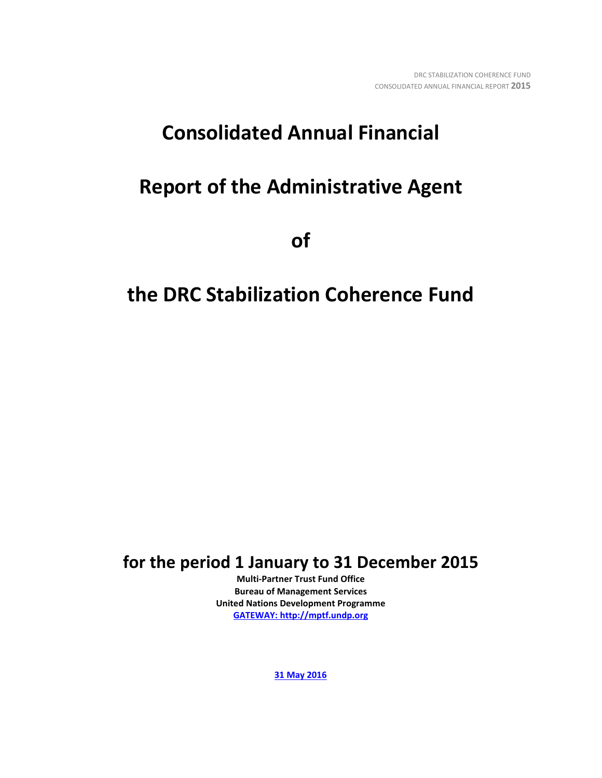# **Consolidated Annual Financial**

# **Report of the Administrative Agent**

**of** 

# **the DRC Stabilization Coherence Fund**

**for the period 1 January to 31 December 2015**

**Multi-Partner Trust Fund Office Bureau of Management Services United Nations Development Programme [GATEWAY: http://mptf.undp.org](http://mptf.undp.org/)**

**31 May 2016**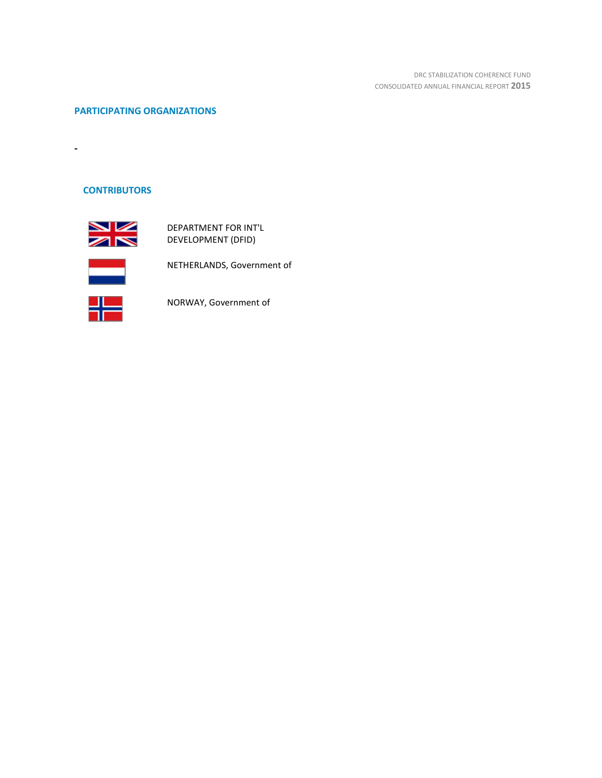DRC STABILIZATION COHERENCE FUND CONSOLIDATED ANNUAL FINANCIAL REPORT **2015**

# **PARTICIPATING ORGANIZATIONS**

# **CONTRIBUTORS**

**-**



DEPARTMENT FOR INT'L DEVELOPMENT (DFID)



NETHERLANDS, Government of



NORWAY, Government of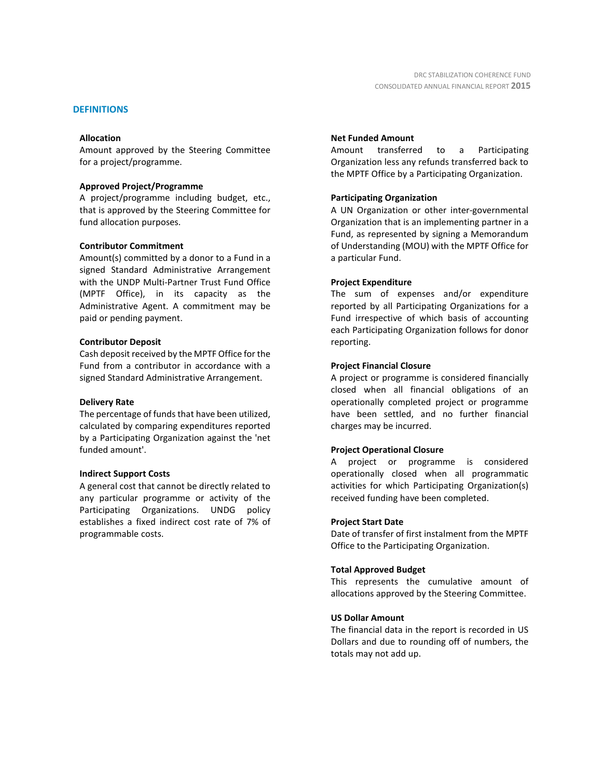#### **DEFINITIONS**

#### **Allocation**

Amount approved by the Steering Committee for a project/programme.

#### **Approved Project/Programme**

A project/programme including budget, etc., that is approved by the Steering Committee for fund allocation purposes.

#### **Contributor Commitment**

Amount(s) committed by a donor to a Fund in a signed Standard Administrative Arrangement with the UNDP Multi-Partner Trust Fund Office (MPTF Office), in its capacity as the Administrative Agent. A commitment may be paid or pending payment.

#### **Contributor Deposit**

Cash deposit received by the MPTF Office for the Fund from a contributor in accordance with a signed Standard Administrative Arrangement.

#### **Delivery Rate**

The percentage of funds that have been utilized, calculated by comparing expenditures reported by a Participating Organization against the 'net funded amount'.

#### **Indirect Support Costs**

A general cost that cannot be directly related to any particular programme or activity of the Participating Organizations. UNDG policy establishes a fixed indirect cost rate of 7% of programmable costs.

#### **Net Funded Amount**

Amount transferred to a Participating Organization less any refunds transferred back to the MPTF Office by a Participating Organization.

#### **Participating Organization**

A UN Organization or other inter-governmental Organization that is an implementing partner in a Fund, as represented by signing a Memorandum of Understanding (MOU) with the MPTF Office for a particular Fund.

#### **Project Expenditure**

The sum of expenses and/or expenditure reported by all Participating Organizations for a Fund irrespective of which basis of accounting each Participating Organization follows for donor reporting.

#### **Project Financial Closure**

A project or programme is considered financially closed when all financial obligations of an operationally completed project or programme have been settled, and no further financial charges may be incurred.

#### **Project Operational Closure**

A project or programme is considered operationally closed when all programmatic activities for which Participating Organization(s) received funding have been completed.

#### **Project Start Date**

Date of transfer of first instalment from the MPTF Office to the Participating Organization.

#### **Total Approved Budget**

This represents the cumulative amount of allocations approved by the Steering Committee.

#### **US Dollar Amount**

The financial data in the report is recorded in US Dollars and due to rounding off of numbers, the totals may not add up.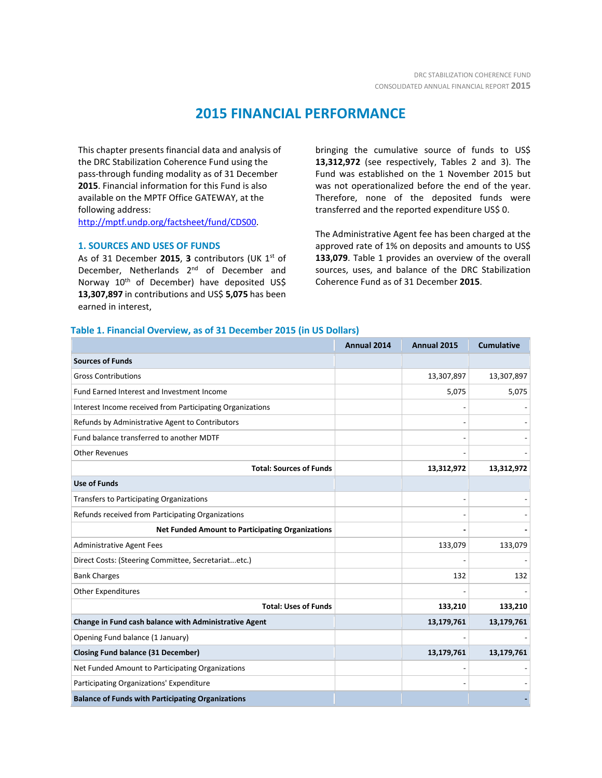# **2015 FINANCIAL PERFORMANCE**

This chapter presents financial data and analysis of the DRC Stabilization Coherence Fund using the pass-through funding modality as of 31 December **2015**. Financial information for this Fund is also available on the MPTF Office GATEWAY, at the following address:

[http://mptf.undp.org/factsheet/fund/CDS00.](http://mptf.undp.org/factsheet/fund/CDS00)

#### **1. SOURCES AND USES OF FUNDS**

As of 31 December **2015**, **3** contributors (UK 1st of December, Netherlands 2<sup>nd</sup> of December and Norway 10<sup>th</sup> of December) have deposited US\$ **13,307,897** in contributions and US\$ **5,075** has been earned in interest,

bringing the cumulative source of funds to US\$ **13,312,972** (see respectively, Tables 2 and 3). The Fund was established on the 1 November 2015 but was not operationalized before the end of the year. Therefore, none of the deposited funds were transferred and the reported expenditure US\$ 0.

The Administrative Agent fee has been charged at the approved rate of 1% on deposits and amounts to US\$ 133,079. Table 1 provides an overview of the overall sources, uses, and balance of the DRC Stabilization Coherence Fund as of 31 December **2015**.

#### **Table 1. Financial Overview, as of 31 December 2015 (in US Dollars)**

|                                                           | Annual 2014 | Annual 2015 | <b>Cumulative</b> |
|-----------------------------------------------------------|-------------|-------------|-------------------|
| <b>Sources of Funds</b>                                   |             |             |                   |
| <b>Gross Contributions</b>                                |             | 13,307,897  | 13,307,897        |
| Fund Earned Interest and Investment Income                |             | 5,075       | 5,075             |
| Interest Income received from Participating Organizations |             |             |                   |
| Refunds by Administrative Agent to Contributors           |             |             |                   |
| Fund balance transferred to another MDTF                  |             |             |                   |
| <b>Other Revenues</b>                                     |             |             |                   |
| <b>Total: Sources of Funds</b>                            |             | 13,312,972  | 13,312,972        |
| <b>Use of Funds</b>                                       |             |             |                   |
| <b>Transfers to Participating Organizations</b>           |             |             |                   |
| Refunds received from Participating Organizations         |             |             |                   |
| <b>Net Funded Amount to Participating Organizations</b>   |             |             |                   |
| <b>Administrative Agent Fees</b>                          |             | 133,079     | 133,079           |
| Direct Costs: (Steering Committee, Secretariatetc.)       |             |             |                   |
| <b>Bank Charges</b>                                       |             | 132         | 132               |
| <b>Other Expenditures</b>                                 |             |             |                   |
| <b>Total: Uses of Funds</b>                               |             | 133,210     | 133,210           |
| Change in Fund cash balance with Administrative Agent     |             | 13,179,761  | 13,179,761        |
| Opening Fund balance (1 January)                          |             |             |                   |
| <b>Closing Fund balance (31 December)</b>                 |             | 13,179,761  | 13,179,761        |
| Net Funded Amount to Participating Organizations          |             |             |                   |
| Participating Organizations' Expenditure                  |             |             |                   |
| <b>Balance of Funds with Participating Organizations</b>  |             |             |                   |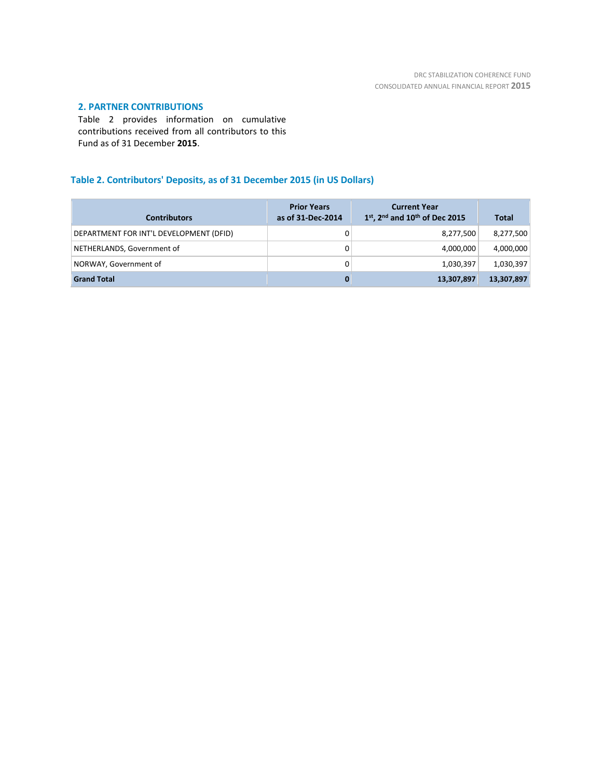## **2. PARTNER CONTRIBUTIONS**

Table 2 provides information on cumulative contributions received from all contributors to this Fund as of 31 December **2015**.

# **Table 2. Contributors' Deposits, as of 31 December 2015 (in US Dollars)**

| <b>Contributors</b>                     | <b>Prior Years</b><br>as of 31-Dec-2014 | <b>Current Year</b><br>$1st$ , 2 <sup>nd</sup> and $10th$ of Dec 2015 | <b>Total</b> |
|-----------------------------------------|-----------------------------------------|-----------------------------------------------------------------------|--------------|
| DEPARTMENT FOR INT'L DEVELOPMENT (DFID) |                                         | 8,277,500                                                             | 8,277,500    |
| NETHERLANDS, Government of              | 0                                       | 4.000.000                                                             | 4,000,000    |
| NORWAY, Government of                   |                                         | 1,030,397                                                             | 1,030,397    |
| <b>Grand Total</b>                      |                                         | 13,307,897                                                            | 13,307,897   |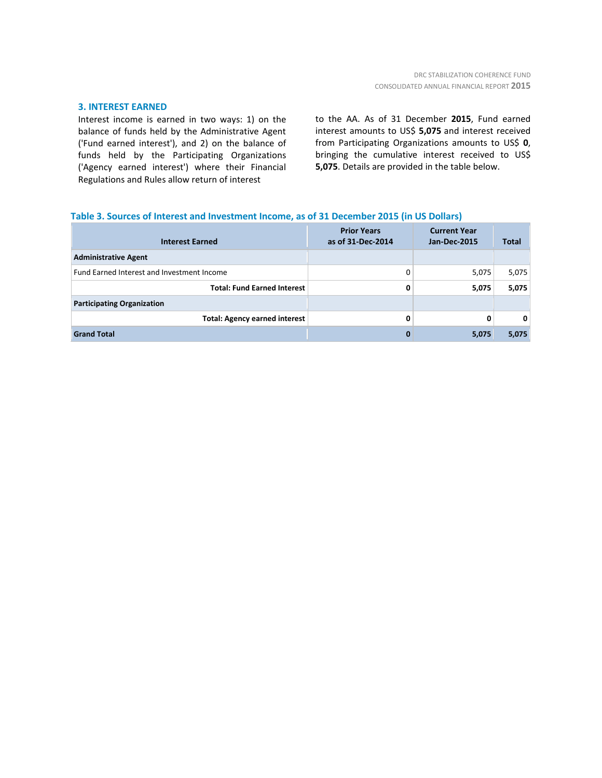### **3. INTEREST EARNED**

Interest income is earned in two ways: 1) on the balance of funds held by the Administrative Agent ('Fund earned interest'), and 2) on the balance of funds held by the Participating Organizations ('Agency earned interest') where their Financial Regulations and Rules allow return of interest

to the AA. As of 31 December **2015**, Fund earned interest amounts to US\$ **5,075** and interest received from Participating Organizations amounts to US\$ **0**, bringing the cumulative interest received to US\$ **5,075**. Details are provided in the table below.

### **Table 3. Sources of Interest and Investment Income, as of 31 December 2015 (in US Dollars)**

| <b>Interest Earned</b>                     | <b>Prior Years</b><br>as of 31-Dec-2014 | <b>Current Year</b><br><b>Jan-Dec-2015</b> | <b>Total</b> |
|--------------------------------------------|-----------------------------------------|--------------------------------------------|--------------|
| <b>Administrative Agent</b>                |                                         |                                            |              |
| Fund Earned Interest and Investment Income |                                         | 5,075                                      | 5,075        |
| <b>Total: Fund Earned Interest</b>         | 0                                       | 5,075                                      | 5,075        |
| <b>Participating Organization</b>          |                                         |                                            |              |
| <b>Total: Agency earned interest</b>       | 0                                       | 0                                          | 0            |
| <b>Grand Total</b>                         | 0                                       | 5,075                                      | 5,075        |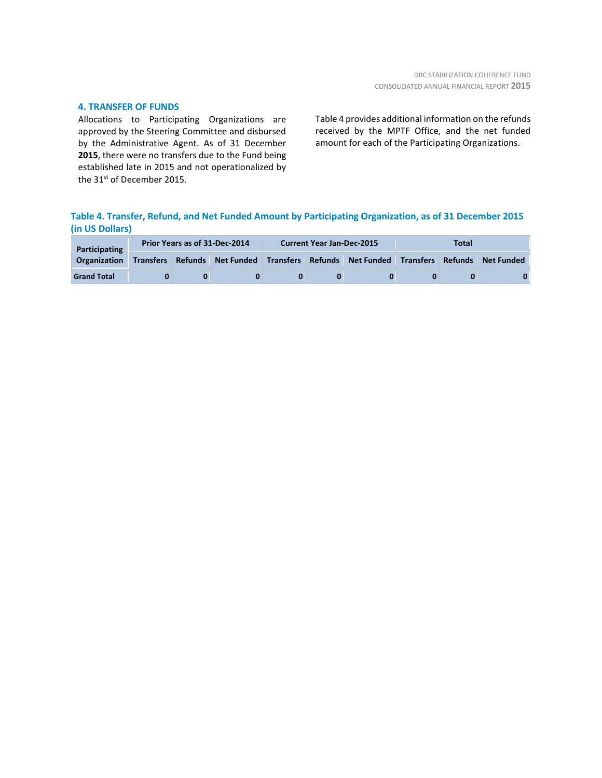### **4. TRANSFER OF FUNDS**

Allocations to Participating Organizations are approved by the Steering Committee and disbursed by the Administrative Agent. As of 31 December **2015**, there were no transfers due to the Fund being established late in 2015 and not operationalized by the 31<sup>st</sup> of December 2015.

Table 4 provides additional information on the refunds received by the MPTF Office, and the net funded amount for each of the Participating Organizations.

# **Table 4. Transfer, Refund, and Net Funded Amount by Participating Organization, as of 31 December 2015 (in US Dollars)**

| Participating       | Prior Years as of 31-Dec-2014 |  |                              | <b>Current Year Jan-Dec-2015</b> |  |                                                           | Total |  |  |
|---------------------|-------------------------------|--|------------------------------|----------------------------------|--|-----------------------------------------------------------|-------|--|--|
| <b>Organization</b> |                               |  | Transfers Refunds Net Funded |                                  |  | Transfers Refunds Net Funded Transfers Refunds Net Funded |       |  |  |
| <b>Grand Total</b>  |                               |  |                              |                                  |  |                                                           |       |  |  |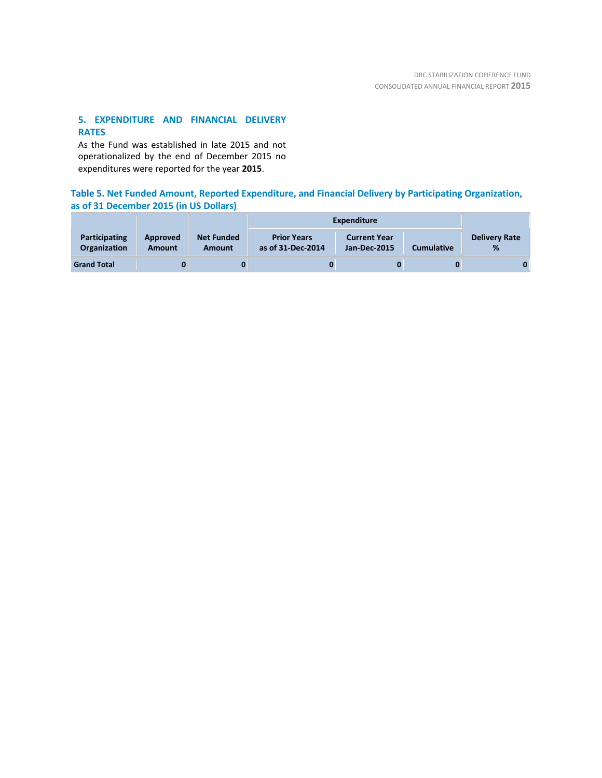# **5. EXPENDITURE AND FINANCIAL DELIVERY RATES**

As the Fund was established in late 2015 and not operationalized by the end of December 2015 no expenditures were reported for the year **2015**.

# **Table 5. Net Funded Amount, Reported Expenditure, and Financial Delivery by Participating Organization, as of 31 December 2015 (in US Dollars)**

|                                      |                    |                             | <b>Expenditure</b>                      |                                            |                   |                           |
|--------------------------------------|--------------------|-----------------------------|-----------------------------------------|--------------------------------------------|-------------------|---------------------------|
| <b>Participating</b><br>Organization | Approved<br>Amount | <b>Net Funded</b><br>Amount | <b>Prior Years</b><br>as of 31-Dec-2014 | <b>Current Year</b><br><b>Jan-Dec-2015</b> | <b>Cumulative</b> | <b>Delivery Rate</b><br>% |
| <b>Grand Total</b>                   |                    | 0                           | 0                                       |                                            |                   | 0                         |